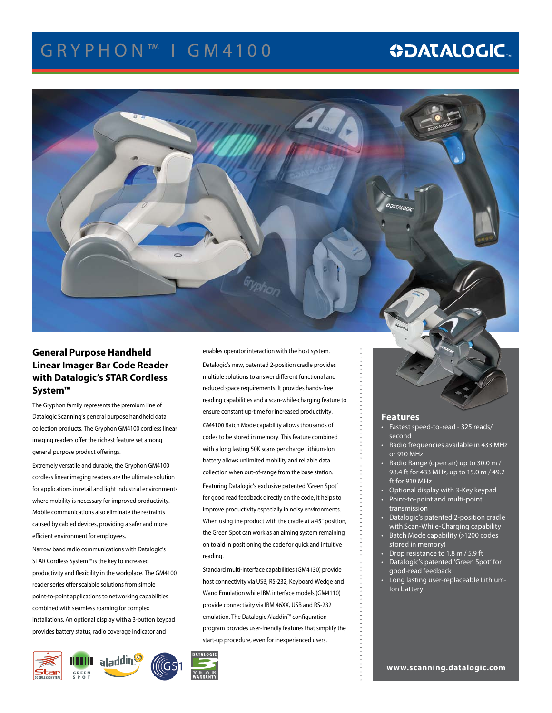# G R Y P H O N ™ I G M 4 1 0 0

# **ODATALOGIC.**



## **General Purpose Handheld Linear Imager Bar Code Reader with Datalogic's STAR Cordless System™**

The Gryphon family represents the premium line of Datalogic Scanning's general purpose handheld data collection products. The Gryphon GM4100 cordless linear imaging readers offer the richest feature set among general purpose product offerings.

Extremely versatile and durable, the Gryphon GM4100 cordless linear imaging readers are the ultimate solution for applications in retail and light industrial environments where mobility is necessary for improved productivity. Mobile communications also eliminate the restraints caused by cabled devices, providing a safer and more efficient environment for employees.

Narrow band radio communications with Datalogic's STAR Cordless System™ is the key to increased productivity and flexibility in the workplace. The GM4100 reader series offer scalable solutions from simple point-to-point applications to networking capabilities combined with seamless roaming for complex installations. An optional display with a 3-button keypad provides battery status, radio coverage indicator and



enables operator interaction with the host system. Datalogic's new, patented 2-position cradle provides multiple solutions to answer different functional and reduced space requirements. It provides hands-free reading capabilities and a scan-while-charging feature to ensure constant up-time for increased productivity. GM4100 Batch Mode capability allows thousands of codes to be stored in memory. This feature combined with a long lasting 50K scans per charge Lithium-Ion battery allows unlimited mobility and reliable data collection when out-of-range from the base station. Featuring Datalogic's exclusive patented 'Green Spot' for good read feedback directly on the code, it helps to improve productivity especially in noisy environments. When using the product with the cradle at a 45° position, the Green Spot can work as an aiming system remaining on to aid in positioning the code for quick and intuitive reading.

Standard multi-interface capabilities (GM4130) provide host connectivity via USB, RS-232, Keyboard Wedge and Wand Emulation while IBM interface models (GM4110) provide connectivity via IBM 46XX, USB and RS-232 emulation. The Datalogic Aladdin™ configuration program provides user-friendly features that simplify the start-up procedure, even for inexperienced users.



- **Features** • Fastest speed-to-read - 325 reads/ second
- Radio frequencies available in 433 MHz or 910 MHz
- Radio Range (open air) up to 30.0 m / 98.4 ft for 433 MHz, up to 15.0 m / 49.2 ft for 910 MHz
- Optional display with  $3$ -Key keypad
- Point-to-point and multi-point transmission
- • Datalogic's patented 2-position cradle with Scan-While-Charging capability Batch Mode capability (>1200 codes
- stored in memory)
- Drop resistance to 1.8 m / 5.9 ft
- • Datalogic's patented 'Green Spot' for good-read feedback
- Long lasting user-replaceable Lithium-Ion battery